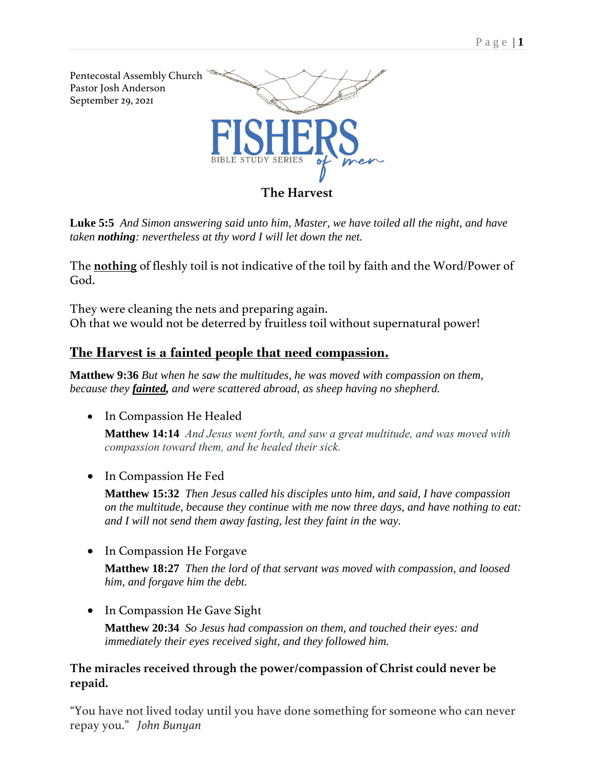

**[Luke](verseid:42.5.5) 5:5** *And Simon answering said unto him, Master, we have toiled all the night, and have taken nothing: nevertheless at thy word I will let down the net.*

The **nothing** of fleshly toil is not indicative of the toil by faith and the Word/Power of God.

They were cleaning the nets and preparing again. Oh that we would not be deterred by fruitless toil without supernatural power!

# **The Harvest is a fainted people that need compassion.**

**Matthew 9:36** *But when he saw the multitudes, he was moved with compassion on them, because they fainted, and were scattered abroad, as sheep having no shepherd.*

• In Compassion He Healed

**[Matthew 14:14](verseid:40.20.34)** *And Jesus went forth, and saw a great multitude, and was moved with compassion toward them, and he healed their sick.*

• In Compassion He Fed

**[Matthew](verseid:40.15.32) 15:32** *Then Jesus called his disciples unto him, and said, I have compassion on the multitude, because they continue with me now three days, and have nothing to eat: and I will not send them away fasting, lest they faint in the way.*

• In Compassion He Forgave

**[Matthew](verseid:40.18.27) 18:27** *Then the lord of that servant was moved with compassion, and loosed him, and forgave him the debt.*

• In Compassion He Gave Sight

**[Matthew](verseid:40.20.34) 20:34** *So Jesus had compassion on them, and touched their eyes: and immediately their eyes received sight, and they followed him.*

### **The miracles received through the power/compassion of Christ could never be repaid.**

"You have not lived today until you have done something for someone who can never repay you." *John Bunyan*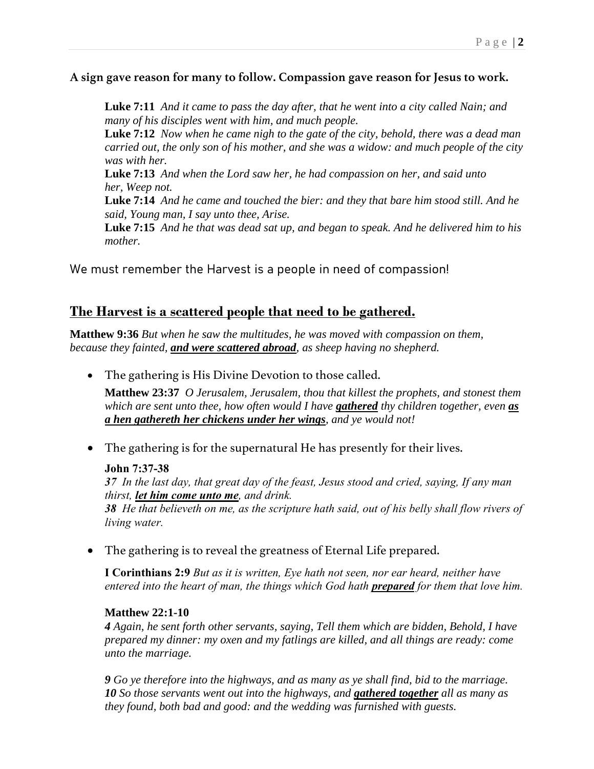#### **A sign gave reason for many to follow. Compassion gave reason for Jesus to work.**

**[Luke](verseid:42.7.11) 7:11** *And it came to pass the day after, that he went into a city called Nain; and many of his disciples went with him, and much people.*

**[Luke](verseid:42.7.12) 7:12** *Now when he came nigh to the gate of the city, behold, there was a dead man carried out, the only son of his mother, and she was a widow: and much people of the city was with her.*

**[Luke](verseid:42.7.13) 7:13** *And when the Lord saw her, he had compassion on her, and said unto her, Weep not.*

**[Luke](verseid:42.7.14) 7:14** *And he came and touched the bier: and they that bare him stood still. And he said, Young man, I say unto thee, Arise.*

**[Luke](verseid:42.7.15) 7:15** *And he that was dead sat up, and began to speak. And he delivered him to his mother.*

We must remember the Harvest is a people in need of compassion!

## **The Harvest is a scattered people that need to be gathered.**

**Matthew 9:36** *But when he saw the multitudes, he was moved with compassion on them, because they fainted, and were scattered abroad, as sheep having no shepherd.*

• The gathering is His Divine Devotion to those called.

**[Matthew 23:37](verseid:40.23.37)** *O Jerusalem, Jerusalem, thou that killest the prophets, and stonest them which are sent unto thee, how often would I have gathered thy children together, even as a hen gathereth her chickens under her wings, and ye would not!*

• The gathering is for the supernatural He has presently for their lives.

#### **John 7:37-38**

*37 In the last day, that great day of the feast, Jesus stood and cried, saying, If any man thirst, let him come unto me, and drink.*

*38 He that believeth on me, as the scripture hath said, out of his belly shall flow rivers of living water.*

• The gathering is to reveal the greatness of Eternal Life prepared.

**I Corinthians 2:9** *But as it is written, Eye hath not seen, nor ear heard, neither have entered into the heart of man, the things which God hath prepared for them that love him.*

#### **[Matthew](verseid:40.22.1) 22:1-10**

*[4](verseid:40.22.4) Again, he sent forth other servants, saying, Tell them which are bidden, Behold, I have prepared my dinner: my oxen and my fatlings are killed, and all things are ready: come unto the marriage.*

*[9](verseid:40.22.9) Go ye therefore into the highways, and as many as ye shall find, bid to the marriage. [10](verseid:40.22.10) So those servants went out into the highways, and gathered together all as many as they found, both bad and good: and the wedding was furnished with guests.*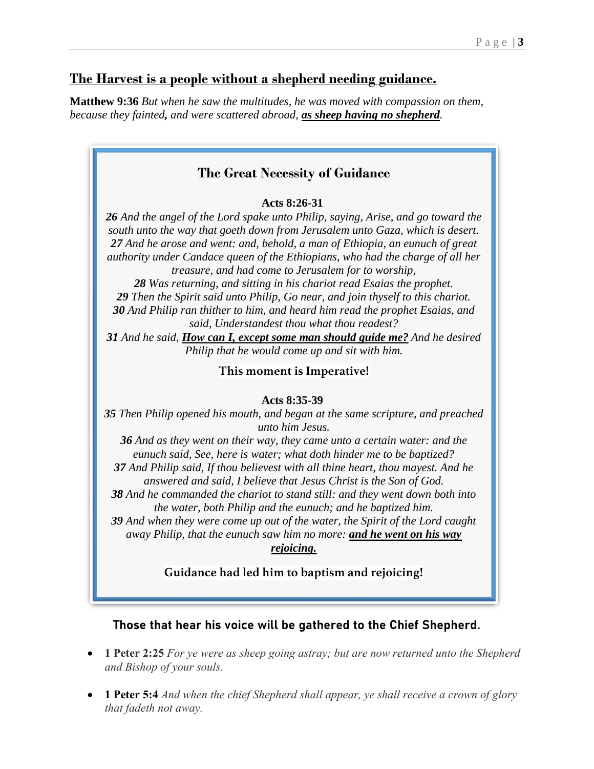## **The Harvest is a people without a shepherd needing guidance.**

**Matthew 9:36** *But when he saw the multitudes, he was moved with compassion on them, because they fainted, and were scattered abroad, as sheep having no shepherd.*



### **Guidance had led him to baptism and rejoicing!**

**Those that hear his voice will be gathered to the Chief Shepherd.**

- **1 Peter 2:25** *For ye were as sheep going astray; but are now returned unto the Shepherd and Bishop of your souls.*
- **1 Peter 5:4** *And when the chief Shepherd shall appear, ye shall receive a crown of glory that fadeth not away.*